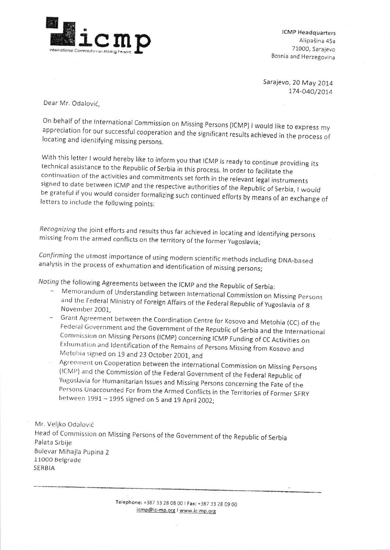

lCMp Headquarters Alipašina 45a 7LOOO, Sarajevo Bosnia and Herzegovina

Sarajevo, 20 May 2014 174-040/2014

Dear Mr. Odalovic,

On behalf of the International Commission on Missing Persons (ICMP) I would like to express my appreciation for our successful cooperation and the significant results achieved in the process of locating and identifying mis

With this letter I would hereby like to inform you that ICMP is ready to continue providing its<br>technical assistance to the Republic of Serbia in this process. In order to facilitate the<br>continuation of the activities and

Recognizing the joint efforts and results thus far achieved in locating and identifying persons missing from the armed conflicts on the territory of the former Yugoslavia;

Confirming the utmost importance of using modern scientific methods including DNA-based analysis in the process of exhumation and identification of missing persons;

Noting the following Agreements between the rcMp and the Republic of serbia:

- Memorandum of Understanding between lnternational commission on Missing persons and the Federal Ministry of Foreign Affairs of the Federal Republic of Yugoslavia of 8<br>November 2001,<br>Grant Agreement between the Coordination Centre for Kosovo and Metohia (CC) of the
- Federal Government and the Government of the Republic of Serbia and the International<br>Commission on Missing Persons (ICMP) concerning ICMP Funding of CC Activities on<br>Exhumation and Identification of the Remains of Persons
- (ICMP) and the Commission of the Federal Government of the Federal Republic of<br>Yugoslavia for Humanitarian Issues and Missing Persons concerning the Fate of the<br>Persons Unaccounted For from the Armed Conflicts in the Terri

Mr. Veljko Odalovic Head of Commission on Missing Persons of the Government of the Republic of Serbia Palata srbije Bulevar Mihajla pupina <sup>2</sup> 11000 Belgrade SERBIA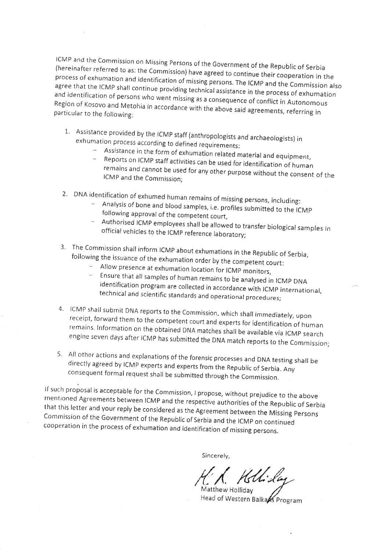(hereinafter lcMP and the referred ICMP and the Commission on Missing Persons of the Government of the Republic of Serbia<br>(hereinafter referred to as: the Commission) have agreed to continue their cooperation in the<br>process of exhumation and identification agree that the ICMP shall continue providing technical assistance in the process of exhumation process of exhumation and identification of missing persons. The ICMP and the Commission also and identification of persons who went missing as a consequence of conflict in Autonomous Region of Kosovo and Metohia in accordance with the above said agreements, referring in<br>particular to the following:

- 1. Assistance provided by the ICMP staff (anthropologists and archaeologists) in exhumation process according to defined requirements:
	- Assistance in the form of exhumation related material and equipment,
	- Reports on ICMP staff activities can be used for identification of human ICMP and the Commission: remains and cannot be used for any other purpose without the consent of the
- 2. DNA identification of exhumed human remains of missing persons, including:
	- Analysis of bone and blood samples, i.e. profiles submitted to the lcMp following approval of the competent court,
	- Authorised ICMP employees shall be allowed to transfer biological samples in official vehicles to the ICMP reference laboratory;
- 3' The commission shall inform lcMP about exhumations in the Republic of serbia, following the issuance of the exhumation order by the competent court:
	- Allow presence at exhumation location for ICMP monitors,
	- Ensure that all samples of human remains to be analysed in ICMP DNA identification program are collected in accordance with ICMP international, technical and scientific standards and operational procedures;
- 4. ICMP shall submit DNA reports to the Commission, which shall immediately, upon<br>receipt, forward them to the competent court and experts for identification of human<br>remains. Information on the obtained DNA matches shall
- 5. All other actions and explanations of the forensic processes and DNA testing shall be directly agreed by ICMP experts and experts from the Republic of Serbia. Any consequent formal request shall be submitted through the

If such proposal is acceptable for the Commission, I propose, without prejudice to the above<br>mentioned Agreements between ICMP and the respective authorities of the Republic of Serbia<br>that this letter and your reply be con

Sincerely,

(Kellida

Matthew Holliday Head of Western Balkans Program